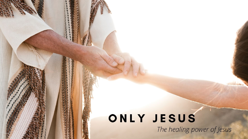## ONLY JESUS

The healing power of Jesus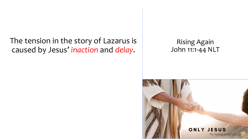The tension in the story of Lazarus is caused by Jesus' *inaction* and *delay*.

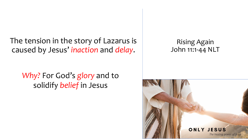The tension in the story of Lazarus is caused by Jesus' *inaction* and *delay*.

*Why?* For God's *glory* and to solidify *belief* in Jesus

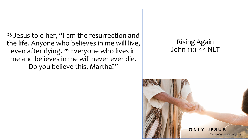<sup>25</sup> Jesus told her, "I am the resurrection and the life. Anyone who believes in me will live, even after dying. 26 Everyone who lives in me and believes in me will never ever die. Do you believe this, Martha?"

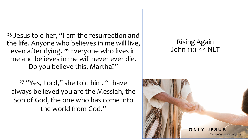<sup>25</sup> Jesus told her, "I am the resurrection and the life. Anyone who believes in me will live, even after dying. 26 Everyone who lives in me and believes in me will never ever die. Do you believe this, Martha?"

<sup>27</sup> "Yes, Lord," she told him. "I have always believed you are the Messiah, the Son of God, the one who has come into the world from God."

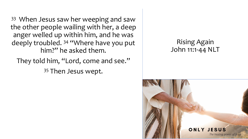<sup>33</sup> When Jesus saw her weeping and saw the other people wailing with her, a deep anger welled up within him, and he was deeply troubled. 34 "Where have you put him?" he asked them.

They told him, "Lord, come and see."

35 Then Jesus wept.

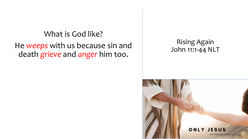### What is God like? He *weeps* with us because sin and death *grieve* and *anger* him too.

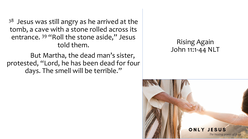$38$  Jesus was still angry as he arrived at the tomb, a cave with a stone rolled across its entrance. <sup>39</sup> "Roll the stone aside," Jesus told them.

But Martha, the dead man's sister, protested, "Lord, he has been dead for four days. The smell will be terrible."

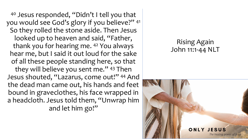<sup>40</sup> Jesus responded, "Didn't I tell you that you would see God's glory if you believe?" 41 So they rolled the stone aside. Then Jesus looked up to heaven and said, "Father, thank you for hearing me. 42 You always hear me, but I said it out loud for the sake of all these people standing here, so that they will believe you sent me." 43 Then Jesus shouted, "Lazarus, come out!" 44 And the dead man came out, his hands and feet bound in graveclothes, his face wrapped in a headcloth. Jesus told them, "Unwrap him and let him go!"

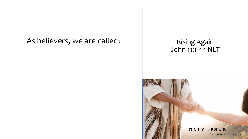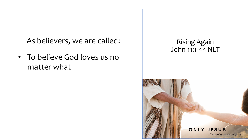• To believe God loves us no matter what

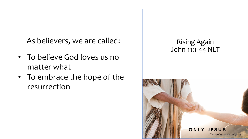- To believe God loves us no matter what
- To embrace the hope of the resurrection